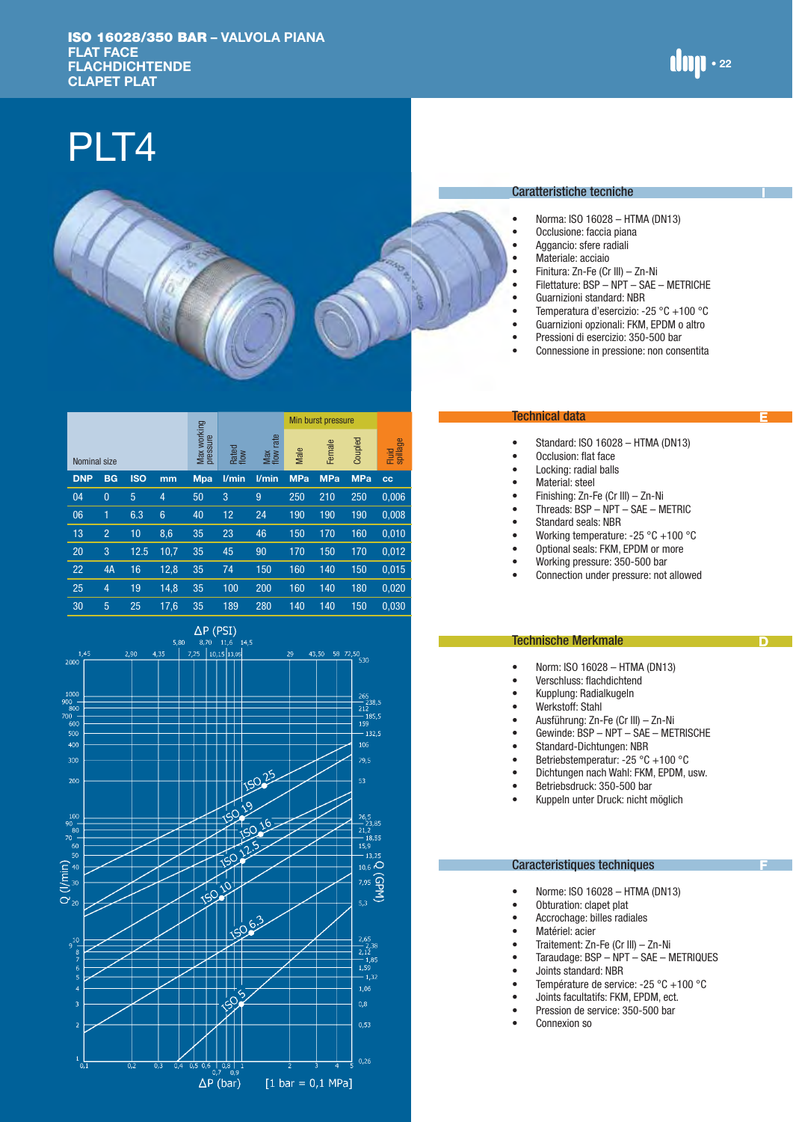# PLT4



|              |                |            |                 |                         |               |                     |            | Min burst pressure |            |                   |
|--------------|----------------|------------|-----------------|-------------------------|---------------|---------------------|------------|--------------------|------------|-------------------|
| Nominal size |                |            |                 | Max working<br>pressure | Rated<br>flow | rate<br>Max<br>flow | Male       | Female             | Coupled    | Fluid<br>spillage |
| <b>DNP</b>   | <b>BG</b>      | <b>ISO</b> | mm              | <b>Mpa</b>              | l/min         | l/min               | <b>MPa</b> | <b>MPa</b>         | <b>MPa</b> | <b>CC</b>         |
| 04           | $\theta$       | 5          | $\overline{4}$  | 50                      | 3             | 9                   | 250        | 210                | 250        | 0,006             |
| 06           | 1              | 6.3        | $6\phantom{1}6$ | 40                      | 12            | 24                  | 190        | 190                | 190        | 0,008             |
| 13           | $\overline{2}$ | 10         | 8,6             | 35                      | 23            | 46                  | 150        | 170                | 160        | 0,010             |
| 20           | 3              | 12.5       | 10,7            | 35                      | 45            | 90                  | 170        | 150                | 170        | 0,012             |
| 22           | 4A             | 16         | 12,8            | 35                      | 74            | 150                 | 160        | 140                | 150        | 0,015             |
| 25           | 4              | 19         | 14,8            | 35                      | 100           | 200                 | 160        | 140                | 180        | 0,020             |
| 30           | 5              | 25         | 17,6            | 35                      | 189           | 280                 | 140        | 140                | 150        | 0,030             |



## Caratteristiche tecniche

• Norma: ISO 16028 – HTMA (DN13)<br>• Occlusione: faccia niana

**I**

 $\lim_{z \to z}$ 

**E**

**D**

**F**

- Occlusione: faccia piana
- Aggancio: sfere radiali<br>• Materiale: acciaio
- Materiale: acciaio<br>• Finitura: 7n-Fe (Cr
- Finitura: Zn-Fe (Cr III) Zn-Ni<br>• Filettature: BSP NPT SAF
- 
- Filettature:  $BSP NPT SAE METRICHE$ <br>• Guarnizioni standard: NBB • Guarnizioni standard: NBR
- Temperatura d'esercizio: -25 °C +100 °C
- Guarnizioni opzionali: FKM, EPDM o altro
- Pressioni di esercizio: 350-500 bar
- Connessione in pressione: non consentita

## Technical data

- Standard: ISO 16028 HTMA (DN13)
- Occlusion: flat face
- Locking: radial balls
- Material: steel
- Finishing: Zn-Fe (Cr III) Zn-Ni
- Threads: BSP NPT SAE METRIC
- Standard seals: NBR
- Working temperature: -25 °C +100 °C
- Optional seals: FKM, EPDM or more
- Working pressure: 350-500 bar
- Connection under pressure: not allowed

## Technische Merkmale

- Norm: ISO 16028 HTMA (DN13)<br>• Verschluss: flachdichtend
- Verschluss: flachdichtend
- Kupplung: Radialkugeln
- Werkstoff: Stahl
- Ausführung: Zn-Fe (Cr III) Zn-Ni
- Gewinde: BSP NPT SAE METRISCHE
- Standard-Dichtungen: NBR
- Betriebstemperatur: -25 °C +100 °C
- Dichtungen nach Wahl: FKM, EPDM, usw.
- Betriebsdruck: 350-500 bar
- Kuppeln unter Druck: nicht möglich

#### Caracteristiques techniques

- Norme: ISO 16028 HTMA (DN13)
- Obturation: clapet plat
- Accrochage: billes radiales
- Matériel: acier<br>• Traitement: 7n
- Traitement: Zn-Fe (Cr III) Zn-Ni<br>• Taraudage: BSP NPT SAF N
- Taraudage: BSP NPT SAE METRIQUES
- Joints standard: NBR
	- Température de service: -25 °C +100 °C
	- Joints facultatifs: FKM, EPDM, ect.
	- Pression de service: 350-500 bar
	- Connexion so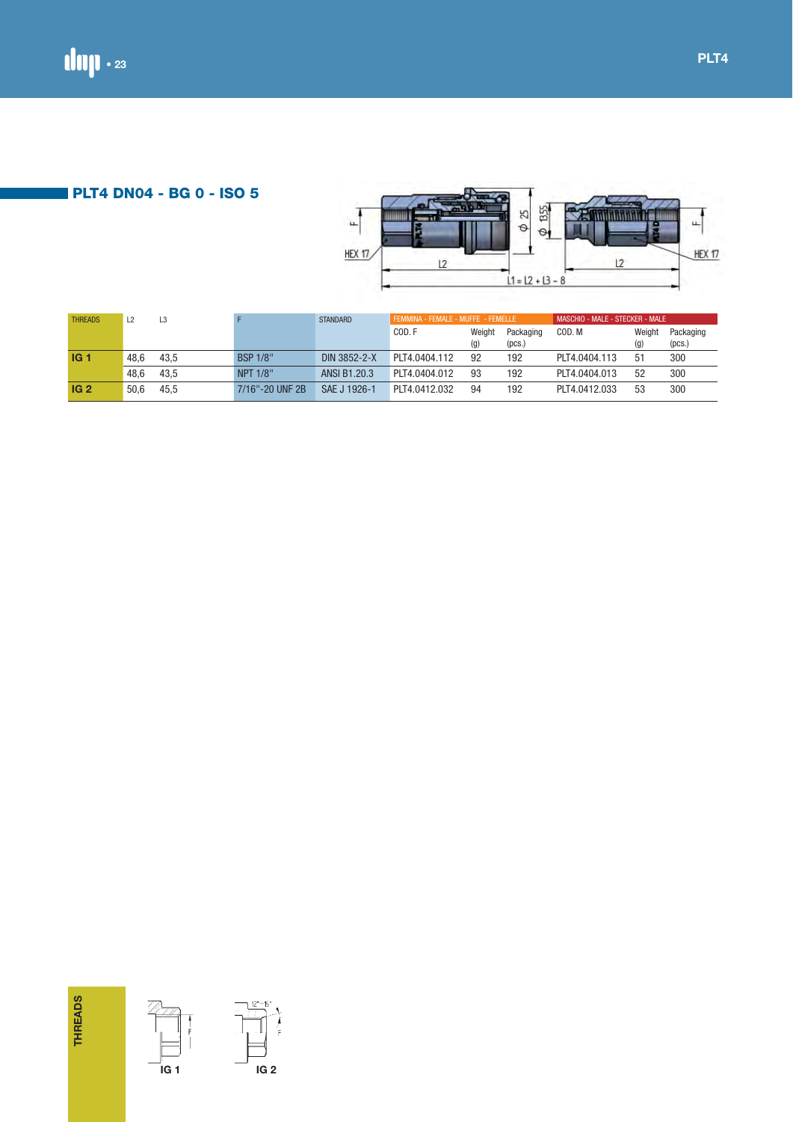**PLT4 DN04 - BG 0 - ISO 5**



| THREADS         | L2       | $\mathsf{L3}$        | $\mathsf F$                                                                                                                                                                                                                                                                                                                            | STANDARD     | FEMMINA - FEMALE - MUFFE - FEMELLE |        |                            | MASCHIO - MALE - STECKER - MALE |     |                            |
|-----------------|----------|----------------------|----------------------------------------------------------------------------------------------------------------------------------------------------------------------------------------------------------------------------------------------------------------------------------------------------------------------------------------|--------------|------------------------------------|--------|----------------------------|---------------------------------|-----|----------------------------|
|                 |          |                      |                                                                                                                                                                                                                                                                                                                                        |              | COD. F                             | (g)    | Weight Packaging<br>(pcs.) | COD. M                          | (g) | Weight Packaging<br>(pcs.) |
| IG <sub>1</sub> | 48,6     | 43,5                 | <b>BSP 1/8"</b>                                                                                                                                                                                                                                                                                                                        | DIN 3852-2-X | PLT4.0404.112                      | 92     | 192                        | PLT4.0404.113                   | 51  | $300\,$                    |
|                 | 48,6     | 43,5                 | NPT 1/8"                                                                                                                                                                                                                                                                                                                               | ANSI B1.20.3 | PLT4.0404.012                      | $93\,$ | 192                        | PLT4.0404.013                   | 52  | $300\,$                    |
| IG <sub>2</sub> | $50,\!6$ | 45,5                 | 7/16"-20 UNF 2B                                                                                                                                                                                                                                                                                                                        | SAE J 1926-1 | PLT4.0412.032                      | 94     | 192                        | PLT4.0412.033                   | 53  | $300\,$                    |
|                 |          |                      |                                                                                                                                                                                                                                                                                                                                        |              |                                    |        |                            |                                 |     |                            |
|                 |          |                      |                                                                                                                                                                                                                                                                                                                                        |              |                                    |        |                            |                                 |     |                            |
|                 |          |                      |                                                                                                                                                                                                                                                                                                                                        |              |                                    |        |                            |                                 |     |                            |
|                 |          |                      |                                                                                                                                                                                                                                                                                                                                        |              |                                    |        |                            |                                 |     |                            |
|                 |          | $\prod_{\mathsf{F}}$ |                                                                                                                                                                                                                                                                                                                                        |              |                                    |        |                            |                                 |     |                            |
| <b>THREADS</b>  |          |                      | $\begin{picture}(120,17) \put(15,15){\line(1,0){150}} \put(15,15){\line(1,0){150}} \put(15,15){\line(1,0){150}} \put(15,15){\line(1,0){150}} \put(15,15){\line(1,0){150}} \put(15,15){\line(1,0){150}} \put(15,15){\line(1,0){150}} \put(15,15){\line(1,0){150}} \put(15,15){\line(1,0){150}} \put(15,15){\line(1,0){150}} \put(15,15$ |              |                                    |        |                            |                                 |     |                            |

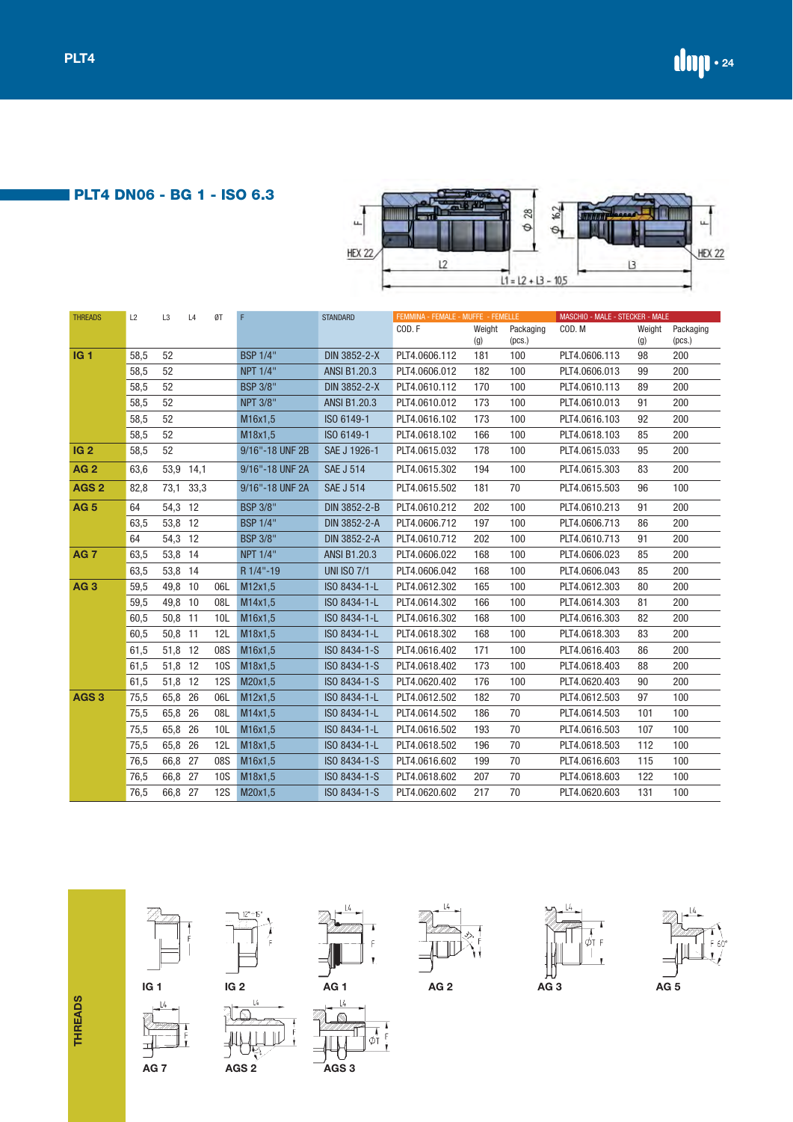**PLT4 DN06 - BG 1 - ISO 6.3**



| <b>THREADS</b>   | L2   | L3      | L4        | ØT         | F               | <b>STANDARD</b>     | FEMMINA - FEMALE - MUFFE - FEMELLE |        |           | MASCHIO - MALE - STECKER - MALE |        |           |
|------------------|------|---------|-----------|------------|-----------------|---------------------|------------------------------------|--------|-----------|---------------------------------|--------|-----------|
|                  |      |         |           |            |                 |                     | COD.F                              | Weight | Packaging | COD.M                           | Weight | Packaging |
|                  |      |         |           |            |                 |                     |                                    | (g)    | (pcs.)    |                                 | (g)    | (pcs.)    |
| <b>IG1</b>       | 58,5 | 52      |           |            | <b>BSP 1/4"</b> | DIN 3852-2-X        | PLT4.0606.112                      | 181    | 100       | PLT4.0606.113                   | 98     | 200       |
|                  | 58,5 | 52      |           |            | <b>NPT 1/4"</b> | <b>ANSI B1.20.3</b> | PLT4.0606.012                      | 182    | 100       | PLT4.0606.013                   | 99     | 200       |
|                  | 58,5 | 52      |           |            | <b>BSP 3/8"</b> | DIN 3852-2-X        | PLT4.0610.112                      | 170    | 100       | PLT4.0610.113                   | 89     | 200       |
|                  | 58,5 | 52      |           |            | <b>NPT 3/8"</b> | <b>ANSI B1.20.3</b> | PLT4.0610.012                      | 173    | 100       | PLT4.0610.013                   | 91     | 200       |
|                  | 58,5 | 52      |           |            | M16x1,5         | ISO 6149-1          | PLT4.0616.102                      | 173    | 100       | PLT4.0616.103                   | 92     | 200       |
|                  | 58,5 | 52      |           |            | M18x1,5         | ISO 6149-1          | PLT4.0618.102                      | 166    | 100       | PLT4.0618.103                   | 85     | 200       |
| IG <sub>2</sub>  | 58,5 | 52      |           |            | 9/16"-18 UNF 2B | SAE J 1926-1        | PLT4.0615.032                      | 178    | 100       | PLT4.0615.033                   | 95     | 200       |
| <b>AG2</b>       | 63,6 |         | 53,9 14,1 |            | 9/16"-18 UNF 2A | <b>SAE J 514</b>    | PLT4.0615.302                      | 194    | 100       | PLT4.0615.303                   | 83     | 200       |
| AGS <sub>2</sub> | 82,8 | 73,1    | 33,3      |            | 9/16"-18 UNF 2A | <b>SAE J 514</b>    | PLT4.0615.502                      | 181    | 70        | PLT4.0615.503                   | 96     | 100       |
| <b>AG 5</b>      | 64   | 54,3 12 |           |            | <b>BSP 3/8"</b> | DIN 3852-2-B        | PLT4.0610.212                      | 202    | 100       | PLT4.0610.213                   | 91     | 200       |
|                  | 63,5 | 53,8 12 |           |            | <b>BSP 1/4"</b> | DIN 3852-2-A        | PLT4.0606.712                      | 197    | 100       | PLT4.0606.713                   | 86     | 200       |
|                  | 64   | 54,3 12 |           |            | <b>BSP 3/8"</b> | DIN 3852-2-A        | PLT4.0610.712                      | 202    | 100       | PLT4.0610.713                   | 91     | 200       |
| <b>AG 7</b>      | 63,5 | 53,8 14 |           |            | <b>NPT 1/4"</b> | <b>ANSI B1.20.3</b> | PLT4.0606.022                      | 168    | 100       | PLT4.0606.023                   | 85     | 200       |
|                  | 63,5 | 53,8 14 |           |            | R 1/4"-19       | <b>UNI ISO 7/1</b>  | PLT4.0606.042                      | 168    | 100       | PLT4.0606.043                   | 85     | 200       |
| AG <sub>3</sub>  | 59,5 | 49,8 10 |           | 06L        | M12x1,5         | ISO 8434-1-L        | PLT4.0612.302                      | 165    | 100       | PLT4.0612.303                   | 80     | 200       |
|                  | 59,5 | 49,8 10 |           | 08L        | M14x1,5         | ISO 8434-1-L        | PLT4.0614.302                      | 166    | 100       | PLT4.0614.303                   | 81     | 200       |
|                  | 60,5 | 50,8 11 |           | 10L        | M16x1,5         | ISO 8434-1-L        | PLT4.0616.302                      | 168    | 100       | PLT4.0616.303                   | 82     | 200       |
|                  | 60,5 | 50,8 11 |           | 12L        | M18x1,5         | ISO 8434-1-L        | PLT4.0618.302                      | 168    | 100       | PLT4.0618.303                   | 83     | 200       |
|                  | 61,5 | 51,8 12 |           | 08S        | M16x1,5         | ISO 8434-1-S        | PLT4.0616.402                      | 171    | 100       | PLT4.0616.403                   | 86     | 200       |
|                  | 61,5 | 51,8 12 |           | <b>10S</b> | M18x1,5         | ISO 8434-1-S        | PLT4.0618.402                      | 173    | 100       | PLT4.0618.403                   | 88     | 200       |
|                  | 61,5 | 51,8 12 |           | <b>12S</b> | M20x1,5         | ISO 8434-1-S        | PLT4.0620.402                      | 176    | 100       | PLT4.0620.403                   | 90     | 200       |
| AGS <sub>3</sub> | 75,5 | 65,8    | 26        | 06L        | M12x1,5         | ISO 8434-1-L        | PLT4.0612.502                      | 182    | 70        | PLT4.0612.503                   | 97     | 100       |
|                  | 75,5 | 65,8    | 26        | 08L        | M14x1,5         | ISO 8434-1-L        | PLT4.0614.502                      | 186    | 70        | PLT4.0614.503                   | 101    | 100       |
|                  | 75,5 | 65,8 26 |           | 10L        | M16x1,5         | ISO 8434-1-L        | PLT4.0616.502                      | 193    | 70        | PLT4.0616.503                   | 107    | 100       |
|                  | 75,5 | 65,8    | 26        | 12L        | M18x1,5         | ISO 8434-1-L        | PLT4.0618.502                      | 196    | 70        | PLT4.0618.503                   | 112    | 100       |
|                  | 76,5 | 66,8 27 |           | 08S        | M16x1,5         | ISO 8434-1-S        | PLT4.0616.602                      | 199    | 70        | PLT4.0616.603                   | 115    | 100       |
|                  | 76,5 | 66,8 27 |           | 10S        | M18x1,5         | ISO 8434-1-S        | PLT4.0618.602                      | 207    | 70        | PLT4.0618.603                   | 122    | 100       |
|                  | 76,5 | 66,8 27 |           | <b>12S</b> | M20x1,5         | ISO 8434-1-S        | PLT4.0620.602                      | 217    | 70        | PLT4.0620.603                   | 131    | 100       |



 $\begin{array}{c}\n\overline{1} \\
\overline{1}\n\end{array}$ 





 $\begin{array}{c}\n\hline\n\bullet \\
F \\
F\n\end{array}$ 

 $\frac{1}{\phi_1^{\frac{1}{2}}}$ 

 $\overline{14}$ 



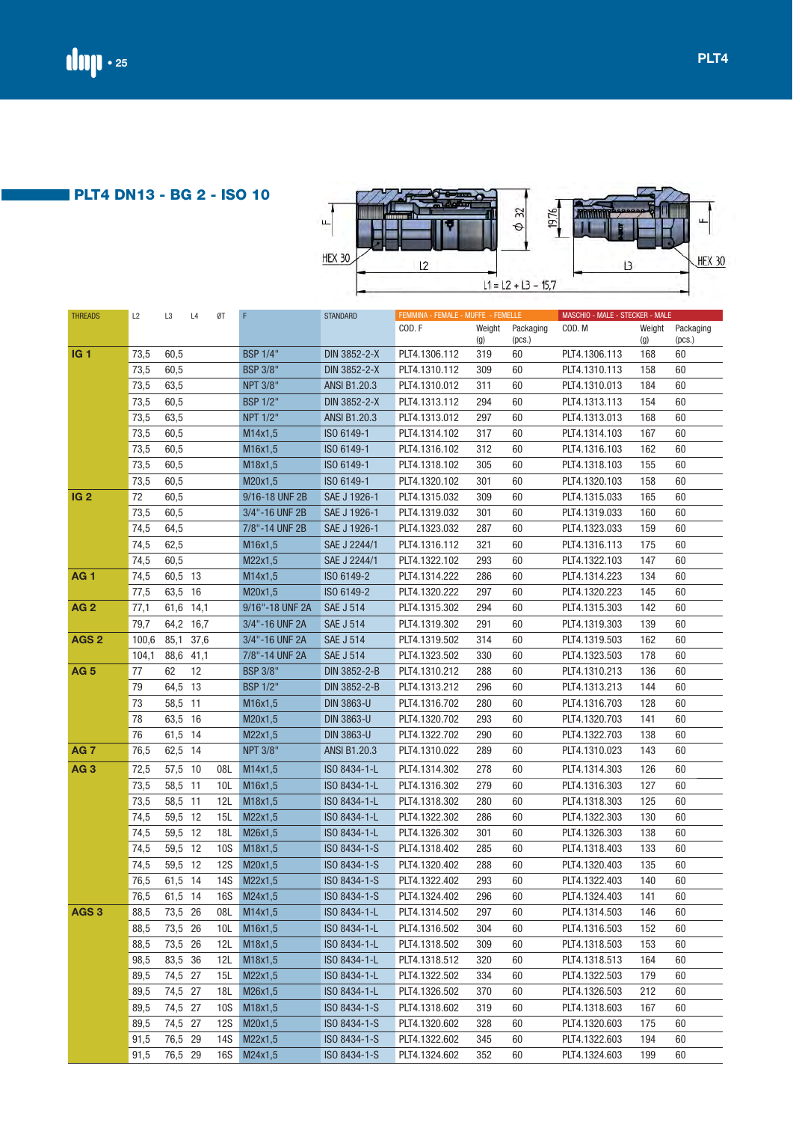**PLT4 DN13 - BG 2 - ISO 10**

| $\mathbf{\mu}$ | $\mathfrak{Z}$<br>€   | 19,76 | <b>88868</b> | u             |
|----------------|-----------------------|-------|--------------|---------------|
| <b>HEX 30</b>  | $L1 = L2 + L3 - 15.7$ |       |              | <b>HEX 30</b> |

| <b>THREADS</b>   | L2    | L3        | L4   | ØT         | F               | <b>STANDARD</b>     | FEMMINA - FEMALE - MUFFE - FEMELLE |               |                     | MASCHIO - MALE - STECKER - MALE |               |                     |
|------------------|-------|-----------|------|------------|-----------------|---------------------|------------------------------------|---------------|---------------------|---------------------------------|---------------|---------------------|
|                  |       |           |      |            |                 |                     | COD.F                              | Weight<br>(g) | Packaging<br>(pcs.) | COD. M                          | Weight<br>(g) | Packaging<br>(pcs.) |
| <b>IG1</b>       | 73,5  | 60,5      |      |            | <b>BSP 1/4"</b> | DIN 3852-2-X        | PLT4.1306.112                      | 319           | 60                  | PLT4.1306.113                   | 168           | 60                  |
|                  | 73,5  | 60,5      |      |            | <b>BSP 3/8"</b> | DIN 3852-2-X        | PLT4.1310.112                      | 309           | 60                  | PLT4.1310.113                   | 158           | 60                  |
|                  | 73,5  | 63,5      |      |            | <b>NPT 3/8"</b> | <b>ANSI B1.20.3</b> | PLT4.1310.012                      | 311           | 60                  | PLT4.1310.013                   | 184           | 60                  |
|                  | 73,5  | 60,5      |      |            | <b>BSP 1/2"</b> | DIN 3852-2-X        | PLT4.1313.112                      | 294           | 60                  | PLT4.1313.113                   | 154           | 60                  |
|                  | 73,5  | 63,5      |      |            | NPT 1/2"        | <b>ANSI B1.20.3</b> | PLT4.1313.012                      | 297           | 60                  | PLT4.1313.013                   | 168           | 60                  |
|                  | 73,5  | 60,5      |      |            | M14x1,5         | ISO 6149-1          | PLT4.1314.102                      | 317           | 60                  | PLT4.1314.103                   | 167           | 60                  |
|                  | 73,5  | 60,5      |      |            | M16x1,5         | ISO 6149-1          | PLT4.1316.102                      | 312           | 60                  | PLT4.1316.103                   | 162           | 60                  |
|                  | 73,5  | 60,5      |      |            | M18x1,5         | ISO 6149-1          | PLT4.1318.102                      | 305           | 60                  | PLT4.1318.103                   | 155           | 60                  |
|                  | 73,5  | 60,5      |      |            | M20x1,5         | ISO 6149-1          | PLT4.1320.102                      | 301           | 60                  | PLT4.1320.103                   | 158           | 60                  |
| <b>IG 2</b>      | 72    | 60,5      |      |            | 9/16-18 UNF 2B  | SAE J 1926-1        | PLT4.1315.032                      | 309           | 60                  | PLT4.1315.033                   | 165           | 60                  |
|                  | 73,5  | 60,5      |      |            | 3/4"-16 UNF 2B  | SAE J 1926-1        | PLT4.1319.032                      | 301           | 60                  | PLT4.1319.033                   | 160           | 60                  |
|                  | 74,5  | 64,5      |      |            | 7/8"-14 UNF 2B  | SAE J 1926-1        | PLT4.1323.032                      | 287           | 60                  | PLT4.1323.033                   | 159           | 60                  |
|                  | 74,5  | 62,5      |      |            | M16x1,5         | SAE J 2244/1        | PLT4.1316.112                      | 321           | 60                  | PLT4.1316.113                   | 175           | 60                  |
|                  | 74,5  | 60,5      |      |            | M22x1,5         | SAE J 2244/1        | PLT4.1322.102                      | 293           | 60                  | PLT4.1322.103                   | 147           | 60                  |
| <b>AG1</b>       | 74,5  | 60,5 13   |      |            | M14x1,5         | ISO 6149-2          | PLT4.1314.222                      | 286           | 60                  | PLT4.1314.223                   | 134           | 60                  |
|                  | 77,5  | 63,5 16   |      |            | M20x1,5         | ISO 6149-2          | PLT4.1320.222                      | 297           | 60                  | PLT4.1320.223                   | 145           | 60                  |
| <b>AG2</b>       | 77,1  | 61,6 14,1 |      |            | 9/16"-18 UNF 2A | <b>SAE J 514</b>    | PLT4.1315.302                      | 294           | 60                  | PLT4.1315.303                   | 142           | 60                  |
|                  | 79,7  | 64,2      | 16,7 |            | 3/4"-16 UNF 2A  | <b>SAE J 514</b>    | PLT4.1319.302                      | 291           | 60                  | PLT4.1319.303                   | 139           | 60                  |
| AGS <sub>2</sub> | 100,6 | 85,1      | 37,6 |            | 3/4"-16 UNF 2A  | <b>SAE J 514</b>    | PLT4.1319.502                      | 314           | 60                  | PLT4.1319.503                   | 162           | 60                  |
|                  | 104,1 | 88,6      | 41,1 |            | 7/8"-14 UNF 2A  | <b>SAE J 514</b>    | PLT4.1323.502                      | 330           | 60                  | PLT4.1323.503                   | 178           | 60                  |
| <b>AG 5</b>      | 77    | 62        | 12   |            | <b>BSP 3/8"</b> | DIN 3852-2-B        | PLT4.1310.212                      | 288           | 60                  | PLT4.1310.213                   | 136           | 60                  |
|                  | 79    | 64,5 13   |      |            | <b>BSP 1/2"</b> | DIN 3852-2-B        | PLT4.1313.212                      | 296           | 60                  | PLT4.1313.213                   | 144           | 60                  |
|                  | 73    | 58,5 11   |      |            | M16x1,5         | <b>DIN 3863-U</b>   | PLT4.1316.702                      | 280           | 60                  | PLT4.1316.703                   | 128           | 60                  |
|                  | 78    | 63,5 16   |      |            | M20x1,5         | <b>DIN 3863-U</b>   | PLT4.1320.702                      | 293           | 60                  | PLT4.1320.703                   | 141           | 60                  |
|                  | 76    | 61,5 14   |      |            | M22x1,5         | <b>DIN 3863-U</b>   | PLT4.1322.702                      | 290           | 60                  | PLT4.1322.703                   | 138           | 60                  |
| <b>AG7</b>       | 76,5  | 62,5 14   |      |            | <b>NPT 3/8"</b> | ANSI B1.20.3        | PLT4.1310.022                      | 289           | 60                  | PLT4.1310.023                   | 143           | 60                  |
| <b>AG3</b>       | 72,5  | 57,5 10   |      | 08L        | M14x1,5         | ISO 8434-1-L        | PLT4.1314.302                      | 278           | 60                  | PLT4.1314.303                   | 126           | 60                  |
|                  | 73,5  | 58,5      | 11   | 10L        | M16x1,5         | ISO 8434-1-L        | PLT4.1316.302                      | 279           | 60                  | PLT4.1316.303                   | 127           | 60                  |
|                  | 73,5  | 58,5      | 11   | 12L        | M18x1,5         | ISO 8434-1-L        | PLT4.1318.302                      | 280           | 60                  | PLT4.1318.303                   | 125           | 60                  |
|                  | 74,5  | 59,5 12   |      | 15L        | M22x1,5         | ISO 8434-1-L        | PLT4.1322.302                      | 286           | 60                  | PLT4.1322.303                   | 130           | 60                  |
|                  | 74,5  | 59,5 12   |      | 18L        | M26x1,5         | ISO 8434-1-L        | PLT4.1326.302                      | 301           | 60                  | PLT4.1326.303                   | 138           | 60                  |
|                  | 74,5  | 59,5 12   |      | <b>10S</b> | M18x1,5         | ISO 8434-1-S        | PLT4.1318.402                      | 285           | 60                  | PLT4.1318.403                   | 133           | 60                  |
|                  | 74,5  | 59,5 12   |      | <b>12S</b> | M20x1,5         | ISO 8434-1-S        | PLT4.1320.402                      | 288           | 60                  | PLT4.1320.403                   | 135           | 60                  |
|                  | 76,5  | 61,5 14   |      | <b>14S</b> | M22x1,5         | ISO 8434-1-S        | PLT4.1322.402                      | 293           | 60                  | PLT4.1322.403                   | 140           | 60                  |
|                  | 76,5  | 61,5 14   |      | <b>16S</b> | M24x1,5         | ISO 8434-1-S        | PLT4.1324.402                      | 296           | 60                  | PLT4.1324.403                   | 141           | 60                  |
| AGS <sub>3</sub> | 88,5  | 73,5 26   |      | 08L        | M14x1,5         | ISO 8434-1-L        | PLT4.1314.502                      | 297           | 60                  | PLT4.1314.503                   | 146           | 60                  |
|                  | 88,5  | 73,5 26   |      | 10L        | M16x1,5         | ISO 8434-1-L        | PLT4.1316.502                      | 304           | 60                  | PLT4.1316.503                   | 152           | 60                  |
|                  | 88,5  | 73,5 26   |      | 12L        | M18x1,5         | ISO 8434-1-L        | PLT4.1318.502                      | 309           | 60                  | PLT4.1318.503                   | 153           | 60                  |
|                  | 98,5  | 83,5 36   |      | 12L        | M18x1,5         | ISO 8434-1-L        | PLT4.1318.512                      | 320           | 60                  | PLT4.1318.513                   | 164           | 60                  |
|                  | 89,5  | 74,5 27   |      | 15L        | M22x1,5         | ISO 8434-1-L        | PLT4.1322.502                      | 334           | 60                  | PLT4.1322.503                   | 179           | 60                  |
|                  | 89,5  | 74,5 27   |      | 18L        | M26x1,5         | ISO 8434-1-L        | PLT4.1326.502                      | 370           | 60                  | PLT4.1326.503                   | 212           | 60                  |
|                  | 89,5  | 74,5 27   |      | 10S        | M18x1,5         | ISO 8434-1-S        | PLT4.1318.602                      | 319           | 60                  | PLT4.1318.603                   | 167           | 60                  |
|                  | 89,5  | 74,5 27   |      | 12S        | M20x1,5         | ISO 8434-1-S        | PLT4.1320.602                      | 328           | 60                  | PLT4.1320.603                   | 175           | 60                  |
|                  | 91,5  | 76,5 29   |      | 14S        | M22x1,5         | ISO 8434-1-S        | PLT4.1322.602                      | 345           | 60                  | PLT4.1322.603                   | 194           | 60                  |
|                  | 91,5  | 76,5 29   |      |            | 16S M24x1,5     | ISO 8434-1-S        | PLT4.1324.602                      | 352           | 60                  | PLT4.1324.603                   | 199           | 60                  |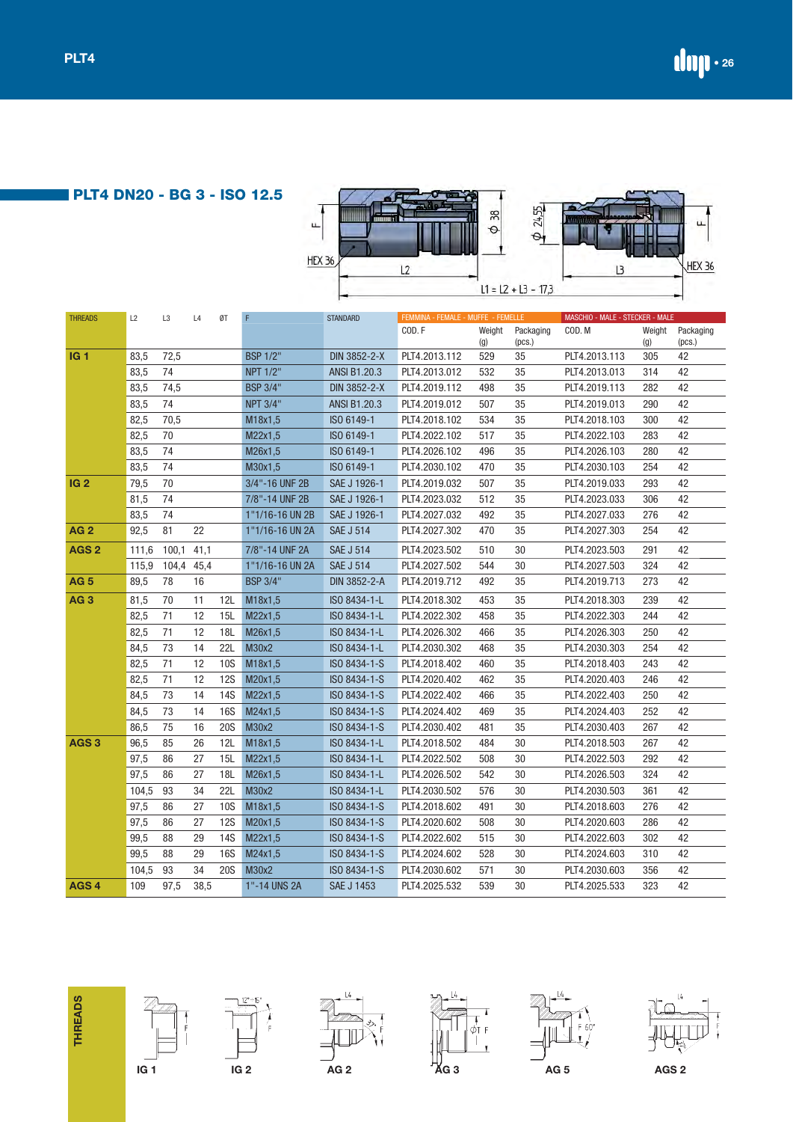**PLT4 DN20 - BG 3 - ISO 12.5**



| <b>THREADS</b>   | L2    | L <sub>3</sub> | L4   | ØT         | F                           | <b>STANDARD</b>   | FEMMINA - FEMALE - MUFFE - FEMELLE |            |              | MASCHIO - MALE - STECKER - MALE |            |              |
|------------------|-------|----------------|------|------------|-----------------------------|-------------------|------------------------------------|------------|--------------|---------------------------------|------------|--------------|
|                  |       |                |      |            |                             |                   | COD.F                              | Weight     | Packaging    | COD. M                          | Weight     | Packaging    |
| IG <sub>1</sub>  | 83,5  | 72,5           |      |            | <b>BSP 1/2"</b>             | DIN 3852-2-X      | PLT4.2013.112                      | (g)<br>529 | (pcs.)<br>35 | PLT4.2013.113                   | (g)<br>305 | (pcs.)<br>42 |
|                  |       | 74             |      |            |                             |                   | PLT4.2013.012                      | 532        | 35           |                                 | 314        | 42           |
|                  | 83,5  | 74,5           |      |            | NPT 1/2"<br><b>BSP 3/4"</b> | ANSI B1.20.3      | PLT4.2019.112                      | 498        | 35           | PLT4.2013.013<br>PLT4.2019.113  | 282        | 42           |
|                  | 83,5  |                |      |            |                             | DIN 3852-2-X      |                                    |            |              |                                 |            |              |
|                  | 83,5  | 74             |      |            | <b>NPT 3/4"</b>             | ANSI B1.20.3      | PLT4.2019.012                      | 507        | 35           | PLT4.2019.013                   | 290        | 42           |
|                  | 82,5  | 70,5           |      |            | M18x1,5                     | ISO 6149-1        | PLT4.2018.102                      | 534        | 35           | PLT4.2018.103                   | 300        | 42           |
|                  | 82,5  | 70<br>74       |      |            | M22x1,5                     | ISO 6149-1        | PLT4.2022.102                      | 517        | 35           | PLT4.2022.103                   | 283        | 42<br>42     |
|                  | 83,5  |                |      |            | M26x1,5                     | ISO 6149-1        | PLT4.2026.102                      | 496        | 35           | PLT4.2026.103                   | 280        |              |
|                  | 83,5  | 74             |      |            | M30x1,5                     | ISO 6149-1        | PLT4.2030.102                      | 470        | 35           | PLT4.2030.103                   | 254        | 42           |
| IG <sub>2</sub>  | 79,5  | 70             |      |            | 3/4"-16 UNF 2B              | SAE J 1926-1      | PLT4.2019.032                      | 507        | 35           | PLT4.2019.033                   | 293        | 42           |
|                  | 81,5  | 74             |      |            | 7/8"-14 UNF 2B              | SAE J 1926-1      | PLT4.2023.032                      | 512        | 35           | PLT4.2023.033                   | 306        | 42           |
|                  | 83,5  | 74             |      |            | 1"1/16-16 UN 2B             | SAE J 1926-1      | PLT4.2027.032                      | 492        | 35           | PLT4.2027.033                   | 276        | 42           |
| <b>AG2</b>       | 92,5  | 81             | 22   |            | 1"1/16-16 UN 2A             | <b>SAE J 514</b>  | PLT4.2027.302                      | 470        | 35           | PLT4.2027.303                   | 254        | 42           |
| AGS <sub>2</sub> | 111,6 | 100,1          | 41,1 |            | 7/8"-14 UNF 2A              | <b>SAE J 514</b>  | PLT4.2023.502                      | 510        | 30           | PLT4.2023.503                   | 291        | 42           |
|                  | 115,9 | 104,4          | 45,4 |            | 1"1/16-16 UN 2A             | <b>SAE J 514</b>  | PLT4.2027.502                      | 544        | 30           | PLT4.2027.503                   | 324        | 42           |
| <b>AG 5</b>      | 89,5  | 78             | 16   |            | <b>BSP 3/4"</b>             | DIN 3852-2-A      | PLT4.2019.712                      | 492        | 35           | PLT4.2019.713                   | 273        | 42           |
| AG <sub>3</sub>  | 81,5  | 70             | 11   | 12L        | M18x1,5                     | ISO 8434-1-L      | PLT4.2018.302                      | 453        | 35           | PLT4.2018.303                   | 239        | 42           |
|                  | 82,5  | 71             | 12   | 15L        | M22x1,5                     | ISO 8434-1-L      | PLT4.2022.302                      | 458        | 35           | PLT4.2022.303                   | 244        | 42           |
|                  | 82,5  | 71             | 12   | 18L        | M26x1,5                     | ISO 8434-1-L      | PLT4.2026.302                      | 466        | 35           | PLT4.2026.303                   | 250        | 42           |
|                  | 84,5  | 73             | 14   | 22L        | M30x2                       | ISO 8434-1-L      | PLT4.2030.302                      | 468        | 35           | PLT4.2030.303                   | 254        | 42           |
|                  | 82,5  | 71             | 12   | <b>10S</b> | M18x1,5                     | ISO 8434-1-S      | PLT4.2018.402                      | 460        | 35           | PLT4.2018.403                   | 243        | 42           |
|                  | 82,5  | 71             | 12   | <b>12S</b> | M20x1,5                     | ISO 8434-1-S      | PLT4.2020.402                      | 462        | 35           | PLT4.2020.403                   | 246        | 42           |
|                  | 84,5  | 73             | 14   | <b>14S</b> | M22x1,5                     | ISO 8434-1-S      | PLT4.2022.402                      | 466        | 35           | PLT4.2022.403                   | 250        | 42           |
|                  | 84,5  | 73             | 14   | <b>16S</b> | M24x1,5                     | ISO 8434-1-S      | PLT4.2024.402                      | 469        | 35           | PLT4.2024.403                   | 252        | 42           |
|                  | 86,5  | 75             | 16   | <b>20S</b> | M30x2                       | ISO 8434-1-S      | PLT4.2030.402                      | 481        | 35           | PLT4.2030.403                   | 267        | 42           |
| AGS <sub>3</sub> | 96,5  | 85             | 26   | 12L        | M18x1,5                     | ISO 8434-1-L      | PLT4.2018.502                      | 484        | 30           | PLT4.2018.503                   | 267        | 42           |
|                  | 97,5  | 86             | 27   | 15L        | M22x1,5                     | ISO 8434-1-L      | PLT4.2022.502                      | 508        | 30           | PLT4.2022.503                   | 292        | 42           |
|                  | 97,5  | 86             | 27   | 18L        | M26x1,5                     | ISO 8434-1-L      | PLT4.2026.502                      | 542        | 30           | PLT4.2026.503                   | 324        | 42           |
|                  | 104,5 | 93             | 34   | 22L        | M30x2                       | ISO 8434-1-L      | PLT4.2030.502                      | 576        | 30           | PLT4.2030.503                   | 361        | 42           |
|                  | 97,5  | 86             | 27   | <b>10S</b> | M18x1,5                     | ISO 8434-1-S      | PLT4.2018.602                      | 491        | 30           | PLT4.2018.603                   | 276        | 42           |
|                  | 97,5  | 86             | 27   | <b>12S</b> | M20x1,5                     | ISO 8434-1-S      | PLT4.2020.602                      | 508        | 30           | PLT4.2020.603                   | 286        | 42           |
|                  | 99,5  | 88             | 29   | <b>14S</b> | M22x1,5                     | ISO 8434-1-S      | PLT4.2022.602                      | 515        | 30           | PLT4.2022.603                   | 302        | 42           |
|                  | 99,5  | 88             | 29   | <b>16S</b> | M24x1,5                     | ISO 8434-1-S      | PLT4.2024.602                      | 528        | 30           | PLT4.2024.603                   | 310        | 42           |
|                  | 104,5 | 93             | 34   | <b>20S</b> | M30x2                       | ISO 8434-1-S      | PLT4.2030.602                      | 571        | 30           | PLT4.2030.603                   | 356        | 42           |
| AGS <sub>4</sub> | 109   | 97,5           | 38,5 |            | 1"-14 UNS 2A                | <b>SAE J 1453</b> | PLT4.2025.532                      | 539        | 30           | PLT4.2025.533                   | 323        | 42           |













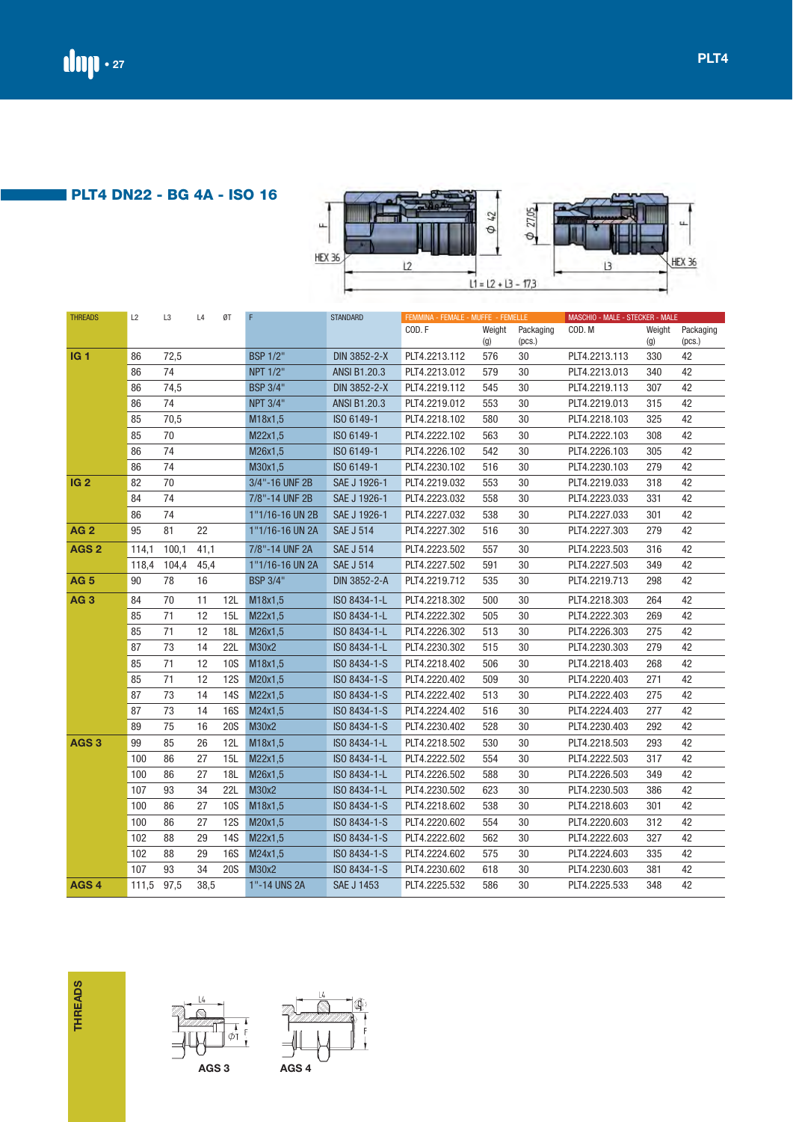**PLT4 DN22 - BG 4A - ISO 16**



| <b>THREADS</b>   | L2    | L3    | L4   | ØT         | F               | <b>STANDARD</b>  | FEMMINA - FEMALE - MUFFE - FEMELLE |        |           | MASCHIO - MALE - STECKER - MALE |        |           |
|------------------|-------|-------|------|------------|-----------------|------------------|------------------------------------|--------|-----------|---------------------------------|--------|-----------|
|                  |       |       |      |            |                 |                  | COD.F                              | Weight | Packaging | COD.M                           | Weight | Packaging |
|                  |       |       |      |            |                 |                  |                                    | (g)    | (pcs.)    |                                 | (g)    | (pcs.)    |
| IG <sub>1</sub>  | 86    | 72,5  |      |            | <b>BSP 1/2"</b> | DIN 3852-2-X     | PLT4.2213.112                      | 576    | 30        | PLT4.2213.113                   | 330    | 42        |
|                  | 86    | 74    |      |            | NPT 1/2"        | ANSI B1.20.3     | PLT4.2213.012                      | 579    | 30        | PLT4.2213.013                   | 340    | 42        |
|                  | 86    | 74,5  |      |            | <b>BSP 3/4"</b> | DIN 3852-2-X     | PLT4.2219.112                      | 545    | 30        | PLT4.2219.113                   | 307    | 42        |
|                  | 86    | 74    |      |            | <b>NPT 3/4"</b> | ANSI B1.20.3     | PLT4.2219.012                      | 553    | 30        | PLT4.2219.013                   | 315    | 42        |
|                  | 85    | 70,5  |      |            | M18x1,5         | ISO 6149-1       | PLT4.2218.102                      | 580    | 30        | PLT4.2218.103                   | 325    | 42        |
|                  | 85    | 70    |      |            | M22x1,5         | ISO 6149-1       | PLT4.2222.102                      | 563    | 30        | PLT4.2222.103                   | 308    | 42        |
|                  | 86    | 74    |      |            | M26x1,5         | ISO 6149-1       | PLT4.2226.102                      | 542    | 30        | PLT4.2226.103                   | 305    | 42        |
|                  | 86    | 74    |      |            | M30x1,5         | ISO 6149-1       | PLT4.2230.102                      | 516    | 30        | PLT4.2230.103                   | 279    | 42        |
| IG <sub>2</sub>  | 82    | 70    |      |            | 3/4"-16 UNF 2B  | SAE J 1926-1     | PLT4.2219.032                      | 553    | 30        | PLT4.2219.033                   | 318    | 42        |
|                  | 84    | 74    |      |            | 7/8"-14 UNF 2B  | SAE J 1926-1     | PLT4.2223.032                      | 558    | 30        | PLT4.2223.033                   | 331    | 42        |
|                  | 86    | 74    |      |            | 1"1/16-16 UN 2B | SAE J 1926-1     | PLT4.2227.032                      | 538    | 30        | PLT4.2227.033                   | 301    | 42        |
| <b>AG2</b>       | 95    | 81    | 22   |            | 1"1/16-16 UN 2A | <b>SAE J 514</b> | PLT4.2227.302                      | 516    | 30        | PLT4.2227.303                   | 279    | 42        |
| AGS <sub>2</sub> | 114,1 | 100,1 | 41,1 |            | 7/8"-14 UNF 2A  | <b>SAE J 514</b> | PLT4.2223.502                      | 557    | 30        | PLT4.2223.503                   | 316    | 42        |
|                  | 118,4 | 104,4 | 45,4 |            | 1"1/16-16 UN 2A | <b>SAE J 514</b> | PLT4.2227.502                      | 591    | 30        | PLT4.2227.503                   | 349    | 42        |
| <b>AG 5</b>      | 90    | 78    | 16   |            | <b>BSP 3/4"</b> | DIN 3852-2-A     | PLT4.2219.712                      | 535    | 30        | PLT4.2219.713                   | 298    | 42        |
| AG <sub>3</sub>  | 84    | 70    | 11   | 12L        | M18x1,5         | ISO 8434-1-L     | PLT4.2218.302                      | 500    | 30        | PLT4.2218.303                   | 264    | 42        |
|                  | 85    | 71    | 12   | 15L        | M22x1,5         | ISO 8434-1-L     | PLT4.2222.302                      | 505    | 30        | PLT4.2222.303                   | 269    | 42        |
|                  | 85    | 71    | 12   | 18L        | M26x1,5         | ISO 8434-1-L     | PLT4.2226.302                      | 513    | 30        | PLT4.2226.303                   | 275    | 42        |
|                  | 87    | 73    | 14   | 22L        | M30x2           | ISO 8434-1-L     | PLT4.2230.302                      | 515    | 30        | PLT4.2230.303                   | 279    | 42        |
|                  | 85    | 71    | 12   | <b>10S</b> | M18x1,5         | ISO 8434-1-S     | PLT4.2218.402                      | 506    | 30        | PLT4.2218.403                   | 268    | 42        |
|                  | 85    | 71    | 12   | <b>12S</b> | M20x1,5         | ISO 8434-1-S     | PLT4.2220.402                      | 509    | 30        | PLT4.2220.403                   | 271    | 42        |
|                  | 87    | 73    | 14   | <b>14S</b> | M22x1,5         | ISO 8434-1-S     | PLT4.2222.402                      | 513    | 30        | PLT4.2222.403                   | 275    | 42        |
|                  | 87    | 73    | 14   | <b>16S</b> | M24x1,5         | ISO 8434-1-S     | PLT4.2224.402                      | 516    | 30        | PLT4.2224.403                   | 277    | 42        |
|                  | 89    | 75    | 16   | <b>20S</b> | M30x2           | ISO 8434-1-S     | PLT4.2230.402                      | 528    | 30        | PLT4.2230.403                   | 292    | 42        |
| AGS <sub>3</sub> | 99    | 85    | 26   | 12L        | M18x1,5         | ISO 8434-1-L     | PLT4.2218.502                      | 530    | 30        | PLT4.2218.503                   | 293    | 42        |
|                  | 100   | 86    | 27   | 15L        | M22x1,5         | ISO 8434-1-L     | PLT4.2222.502                      | 554    | 30        | PLT4.2222.503                   | 317    | 42        |
|                  | 100   | 86    | 27   | 18L        | M26x1,5         | ISO 8434-1-L     | PLT4.2226.502                      | 588    | 30        | PLT4.2226.503                   | 349    | 42        |
|                  | 107   | 93    | 34   | 22L        | M30x2           | ISO 8434-1-L     | PLT4.2230.502                      | 623    | 30        | PLT4.2230.503                   | 386    | 42        |
|                  | 100   | 86    | 27   | <b>10S</b> | M18x1,5         | ISO 8434-1-S     | PLT4.2218.602                      | 538    | 30        | PLT4.2218.603                   | 301    | 42        |
|                  | 100   | 86    | 27   | <b>12S</b> | M20x1,5         | ISO 8434-1-S     | PLT4.2220.602                      | 554    | 30        | PLT4.2220.603                   | 312    | 42        |
|                  | 102   | 88    | 29   | <b>14S</b> | M22x1,5         | ISO 8434-1-S     | PLT4.2222.602                      | 562    | 30        | PLT4.2222.603                   | 327    | 42        |
|                  | 102   | 88    | 29   | <b>16S</b> | M24x1,5         | ISO 8434-1-S     | PLT4.2224.602                      | 575    | 30        | PLT4.2224.603                   | 335    | 42        |
|                  | 107   | 93    | 34   | <b>20S</b> | M30x2           | ISO 8434-1-S     | PLT4.2230.602                      | 618    | 30        | PLT4.2230.603                   | 381    | 42        |
| AGS <sub>4</sub> | 111,5 | 97,5  | 38,5 |            | 1"-14 UNS 2A    | SAE J 1453       | PLT4.2225.532                      | 586    | 30        | PLT4.2225.533                   | 348    | 42        |







ΦŤ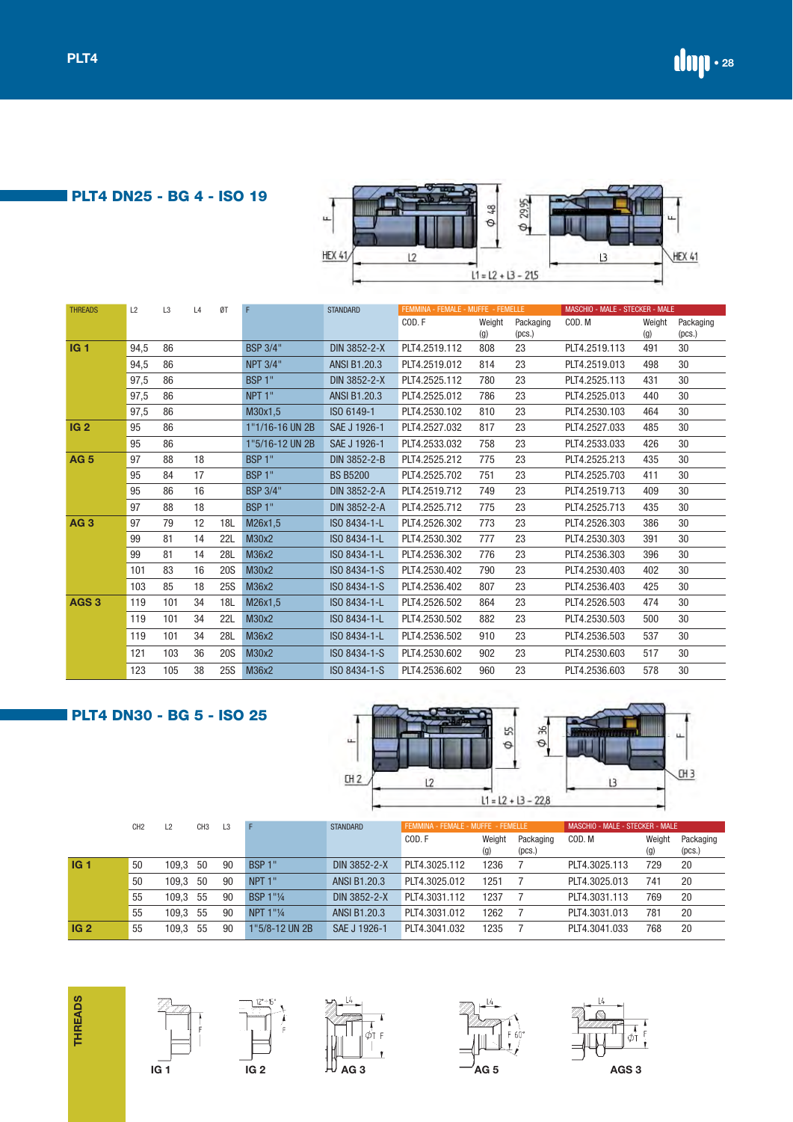**PLT4 DN25 - BG 4 - ISO 19**

| $\mu$         | $\infty$<br>Θ        | 29.95 | ╙             |
|---------------|----------------------|-------|---------------|
| <b>HEX 41</b> | $11 = 12 + 13 - 215$ |       | <b>HEX 41</b> |

| <b>THREADS</b>   | L2   | L <sub>3</sub> | L4 | ØT         | F                  | <b>STANDARD</b>     | FEMMINA - FEMALE - MUFFE - FEMELLE |        |           | MASCHIO - MALE - STECKER - MALE |        |           |
|------------------|------|----------------|----|------------|--------------------|---------------------|------------------------------------|--------|-----------|---------------------------------|--------|-----------|
|                  |      |                |    |            |                    |                     | COD.F                              | Weight | Packaging | COD. M                          | Weight | Packaging |
|                  |      |                |    |            |                    |                     |                                    | (g)    | (pcs.)    |                                 | (g)    | (pcs.)    |
| IG <sub>1</sub>  | 94,5 | 86             |    |            | <b>BSP 3/4"</b>    | DIN 3852-2-X        | PLT4.2519.112                      | 808    | 23        | PLT4.2519.113                   | 491    | 30        |
|                  | 94,5 | 86             |    |            | <b>NPT 3/4"</b>    | <b>ANSI B1.20.3</b> | PLT4.2519.012                      | 814    | 23        | PLT4.2519.013                   | 498    | 30        |
|                  | 97,5 | 86             |    |            | BSP <sub>1</sub> " | DIN 3852-2-X        | PLT4.2525.112                      | 780    | 23        | PLT4.2525.113                   | 431    | 30        |
|                  | 97,5 | 86             |    |            | NPT <sub>1</sub> " | <b>ANSI B1.20.3</b> | PLT4.2525.012                      | 786    | 23        | PLT4.2525.013                   | 440    | 30        |
|                  | 97,5 | 86             |    |            | M30x1,5            | ISO 6149-1          | PLT4.2530.102                      | 810    | 23        | PLT4.2530.103                   | 464    | 30        |
| IG <sub>2</sub>  | 95   | 86             |    |            | 1"1/16-16 UN 2B    | SAE J 1926-1        | PLT4.2527.032                      | 817    | 23        | PLT4.2527.033                   | 485    | 30        |
|                  | 95   | 86             |    |            | 1"5/16-12 UN 2B    | SAE J 1926-1        | PLT4.2533.032                      | 758    | 23        | PLT4.2533.033                   | 426    | 30        |
| <b>AG5</b>       | 97   | 88             | 18 |            | BSP <sub>1</sub> " | DIN 3852-2-B        | PLT4.2525.212                      | 775    | 23        | PLT4.2525.213                   | 435    | 30        |
|                  | 95   | 84             | 17 |            | BSP <sub>1</sub> " | <b>BS B5200</b>     | PLT4.2525.702                      | 751    | 23        | PLT4.2525.703                   | 411    | 30        |
|                  | 95   | 86             | 16 |            | <b>BSP 3/4"</b>    | DIN 3852-2-A        | PLT4.2519.712                      | 749    | 23        | PLT4.2519.713                   | 409    | 30        |
|                  | 97   | 88             | 18 |            | BSP <sub>1"</sub>  | DIN 3852-2-A        | PLT4.2525.712                      | 775    | 23        | PLT4.2525.713                   | 435    | 30        |
| AG <sub>3</sub>  | 97   | 79             | 12 | 18L        | M26x1,5            | ISO 8434-1-L        | PLT4.2526.302                      | 773    | 23        | PLT4.2526.303                   | 386    | 30        |
|                  | 99   | 81             | 14 | 22L        | M30x2              | ISO 8434-1-L        | PLT4.2530.302                      | 777    | 23        | PLT4.2530.303                   | 391    | 30        |
|                  | 99   | 81             | 14 | <b>28L</b> | M36x2              | ISO 8434-1-L        | PLT4.2536.302                      | 776    | 23        | PLT4.2536.303                   | 396    | 30        |
|                  | 101  | 83             | 16 | <b>20S</b> | M30x2              | ISO 8434-1-S        | PLT4.2530.402                      | 790    | 23        | PLT4.2530.403                   | 402    | 30        |
|                  | 103  | 85             | 18 | <b>25S</b> | M36x2              | ISO 8434-1-S        | PLT4.2536.402                      | 807    | 23        | PLT4.2536.403                   | 425    | 30        |
| AGS <sub>3</sub> | 119  | 101            | 34 | 18L        | M26x1,5            | ISO 8434-1-L        | PLT4.2526.502                      | 864    | 23        | PLT4.2526.503                   | 474    | 30        |
|                  | 119  | 101            | 34 | <b>22L</b> | M30x2              | ISO 8434-1-L        | PLT4.2530.502                      | 882    | 23        | PLT4.2530.503                   | 500    | 30        |
|                  | 119  | 101            | 34 | 28L        | M36x2              | ISO 8434-1-L        | PLT4.2536.502                      | 910    | 23        | PLT4.2536.503                   | 537    | 30        |
|                  | 121  | 103            | 36 | <b>20S</b> | M30x2              | ISO 8434-1-S        | PLT4.2530.602                      | 902    | 23        | PLT4.2530.603                   | 517    | 30        |
|                  | 123  | 105            | 38 | <b>25S</b> | M36x2              | ISO 8434-1-S        | PLT4.2536.602                      | 960    | 23        | PLT4.2536.603                   | 578    | 30        |

# **PLT4 DN30 - BG 5 - ISO 25**



|                 | CH <sub>2</sub> | $\overline{2}$ | CH <sub>3</sub> | L3 |                    | <b>STANDARD</b> | FEMMINA - FEMALE - MUFFE - FEMELLE |               |                     | MASCHIO - MALE - STECKER - MALE |                 |                     |
|-----------------|-----------------|----------------|-----------------|----|--------------------|-----------------|------------------------------------|---------------|---------------------|---------------------------------|-----------------|---------------------|
|                 |                 |                |                 |    |                    |                 | COD.F                              | Weight<br>(g) | Packaging<br>(pcs.) | COD. M                          | Weight<br>(g)   | Packaging<br>(pcs.) |
| IG <sub>1</sub> | 50              | 109.3          | 50              | 90 | BSP 1"             | DIN 3852-2-X    | PLT4.3025.112                      | 1236          |                     | PLT4.3025.113                   | 729             | 20                  |
|                 | 50              | 109.3          | 50              | 90 | NPT <sub>1</sub> " | ANSI B1.20.3    | PLT4.3025.012                      | 1251          |                     | PLT4.3025.013                   | 74 <sup>1</sup> | 20                  |
|                 | 55              | 109.3          | 55              | 90 | <b>BSP 1"1/4</b>   | DIN 3852-2-X    | PLT4.3031.112                      | 1237          |                     | PLT4.3031.113                   | 769             | 20                  |
|                 | 55              | 109.3          | -55             | 90 | NPT 1"1/4          | ANSI B1.20.3    | PLT4.3031.012                      | 1262          |                     | PLT4.3031.013                   | 781             | 20                  |
| IG <sub>2</sub> | 55              | 109.3          | 55              | 90 | 1"5/8-12 UN 2B     | SAE J 1926-1    | PLT4.3041.032                      | 1235          |                     | PLT4.3041.033                   | 768             | 20                  |







 $\begin{matrix} 1 & \lambda \\ \lambda & \lambda \\ \lambda & \lambda \end{matrix}$